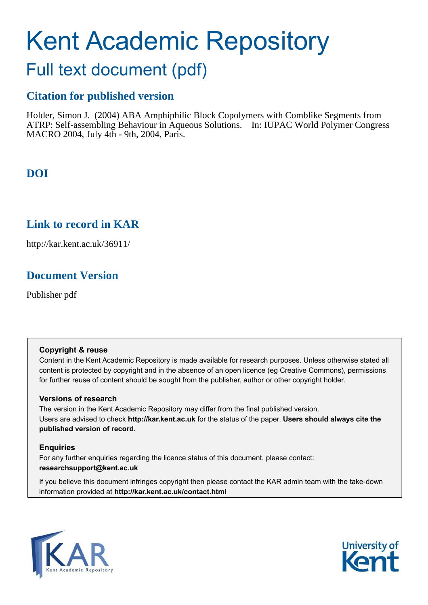# Kent Academic Repository

## Full text document (pdf)

## **Citation for published version**

Holder, Simon J. (2004) ABA Amphiphilic Block Copolymers with Comblike Segments from ATRP: Self-assembling Behaviour in Aqueous Solutions. In: IUPAC World Polymer Congress MACRO 2004, July 4th - 9th, 2004, Paris.

## **DOI**

### **Link to record in KAR**

http://kar.kent.ac.uk/36911/

## **Document Version**

Publisher pdf

#### **Copyright & reuse**

Content in the Kent Academic Repository is made available for research purposes. Unless otherwise stated all content is protected by copyright and in the absence of an open licence (eg Creative Commons), permissions for further reuse of content should be sought from the publisher, author or other copyright holder.

#### **Versions of research**

The version in the Kent Academic Repository may differ from the final published version. Users are advised to check **http://kar.kent.ac.uk** for the status of the paper. **Users should always cite the published version of record.**

#### **Enquiries**

For any further enquiries regarding the licence status of this document, please contact: **researchsupport@kent.ac.uk**

If you believe this document infringes copyright then please contact the KAR admin team with the take-down information provided at **http://kar.kent.ac.uk/contact.html**



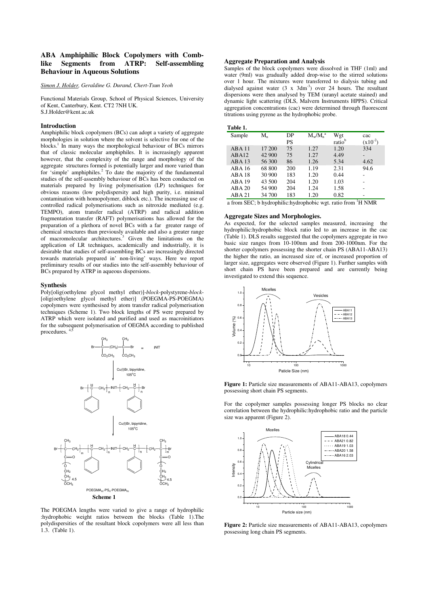#### **ABA Amphiphilic Block Copolymers with Comblike Segments from ATRP: Self-assembling Behaviour in Aqueous Solutions**

#### *Simon J. Holder, Geraldine G. Durand, Chert-Tsun Yeoh*

Functional Materials Group, School of Physical Sciences, University of Kent, Canterbury, Kent. CT2 7NH UK. S.J.Holder@kent.ac.uk

#### **Introduction**

Amphiphilic block copolymers (BCs) can adopt a variety of aggregate morphologies in solution where the solvent is selective for one of the blocks.<sup>1</sup> In many ways the morphological behaviour of BCs mirrors that of classic molecular amphiphiles. It is increasingly apparent however, that the complexity of the range and morphology of the aggregate structures formed is potentially larger and more varied than for 'simple' amphiphiles.<sup>2</sup> To date the majority of the fundamental studies of the self-assembly behaviour of BCs has been conducted on materials prepared by living polymerisation (LP) techniques for obvious reasons (low polydispersity and high purity, i.e. minimal contamination with homopolymer, diblock etc.). The increasing use of controlled radical polymerisations such as nitroxide mediated (e.g. TEMPO), atom transfer radical (ATRP) and radical addition fragmentation transfer (RAFT) polymerisations has allowed for the preparation of a plethora of novel BCs with a far greater range of chemical structures than previously available and also a greater range of macromolecular architectures.<sup>3</sup> Given the limitations on the application of LR techniques, academically and industrially, it is desirable that studies of self-assembling BCs are increasingly directed towards materials prepared in' non-living' ways. Here we report preliminary results of our studies into the self-assembly behaviour of BCs prepared by ATRP in aqueous dispersions.

#### **Synthesis**

Poly[olig(oethylene glycol methyl ether)]-*block*-polystyrene-*block*- [olig(oethylene glycol methyl ether)] (POEGMA-PS-POEGMA) copolymers were synthesised by atom transfer radical polymerisation techniques (Scheme 1). Two block lengths of PS were prepared by ATRP which were isolated and purified and used as macroinitiators for the subsequent polymerisation of OEGMA according to published procedures.



The POEGMA lengths were varied to give a range of hydrophilic :hydrophobic weight ratios between the blocks (Table 1).The polydispersities of the resultant block copolymers were all less than 1.3. (Table 1).

#### **Aggregate Preparation and Analysis**

Samples of the block copolymers were dissolved in THF (1ml) and water (9ml) was gradually added drop-wise to the stirred solutions over 1 hour. The mixtures were transferred to dialysis tubing and dialysed against water  $(3 \times 3dm^{-3})$  over 24 hours. The resultant dispersions were then analysed by TEM (uranyl acetate stained) and dynamic light scattering (DLS, Malvern Instruments HPPS). Critical aggregation concentrations (cac) were determined through fluorescent titrations using pyrene as the hydrophobic probe.

| Table 1.      |        |     |             |                    |              |
|---------------|--------|-----|-------------|--------------------|--------------|
| Sample        | $M_n$  | DP  | $M_w/M_a^a$ | Wgt                | cac          |
|               |        | PS  |             | ratio <sup>b</sup> | $(x10^{-2})$ |
| ABA11         | 17 200 | 75  | 1.27        | 1.20               | 334          |
| ABA12         | 42 900 | 75  | 1.27        | 4.49               |              |
| $ABA$ 13      | 56 300 | 86  | 1.26        | 5.34               | 4.62         |
| ABA 16        | 68 800 | 200 | 1.19        | 2.31               | 94.6         |
| <b>ABA 18</b> | 30 900 | 183 | 1.20        | 0.44               |              |
| <b>ABA 19</b> | 43 500 | 204 | 1.20        | 1.03               |              |
| ABA 20        | 54 900 | 204 | 1.24        | 1.58               |              |
| ABA 21        | 34 700 | 183 | 1.20        | 0.82               | τ            |

a from SEC; b hydrophilic:hydrophobic wgt. ratio from <sup>1</sup>H NMR

#### **Aggregate Sizes and Morphologies.**

As expected, for the selected samples measured, increasing the hydrophilic:hydrophobic block ratio led to an increase in the cac (Table 1). DLS results suggested that the copolymers aggregate in two basic size ranges from 10-100nm and from 200-1000nm. For the shorter copolymers possessing the shorter chain PS (ABA11-ABA13) the higher the ratio, an increased size of, or increased proportion of larger size, aggregates were observed (Figure 1). Further samples with short chain PS have been prepared and are currently being investigated to extend this sequence.



Figure 1: Particle size measurements of ABA11-ABA13, copolymers possessing short chain PS segments.

For the copolymer samples possessing longer PS blocks no clear correlation between the hydrophilic:hydrophobic ratio and the particle size was apparent (Figure 2).



**Figure 2:** Particle size measurements of ABA11-ABA13, copolymers possessing long chain PS segments.